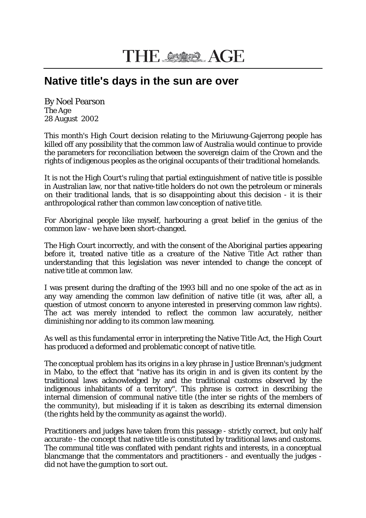## **Native title's days in the sun are over**

By Noel Pearson *The Age* 28 August 2002

This month's High Court decision relating to the Miriuwung-Gajerrong people has killed off any possibility that the common law of Australia would continue to provide the parameters for reconciliation between the sovereign claim of the Crown and the rights of indigenous peoples as the original occupants of their traditional homelands.

It is not the High Court's ruling that partial extinguishment of native title is possible in Australian law, nor that native-title holders do not own the petroleum or minerals on their traditional lands, that is so disappointing about this decision - it is their anthropological rather than common law conception of native title.

For Aboriginal people like myself, harbouring a great belief in the genius of the common law - we have been short-changed.

The High Court incorrectly, and with the consent of the Aboriginal parties appearing before it, treated native title as a creature of the Native Title Act rather than understanding that this legislation was never intended to change the concept of native title at common law.

I was present during the drafting of the 1993 bill and no one spoke of the act as in any way amending the common law definition of native title (it was, after all, a question of utmost concern to anyone interested in preserving common law rights). The act was merely intended to reflect the common law accurately, neither diminishing nor adding to its common law meaning.

As well as this fundamental error in interpreting the Native Title Act, the High Court has produced a deformed and problematic concept of native title.

The conceptual problem has its origins in a key phrase in Justice Brennan's judgment in Mabo, to the effect that "native has its origin in and is given its content by the traditional laws acknowledged by and the traditional customs observed by the indigenous inhabitants of a territory". This phrase is correct in describing the internal dimension of communal native title (the inter se rights of the members of the community), but misleading if it is taken as describing its external dimension (the rights held by the community as against the world).

Practitioners and judges have taken from this passage - strictly correct, but only half accurate - the concept that native title is constituted by traditional laws and customs. The communal title was conflated with pendant rights and interests, in a conceptual blancmange that the commentators and practitioners - and eventually the judges did not have the gumption to sort out.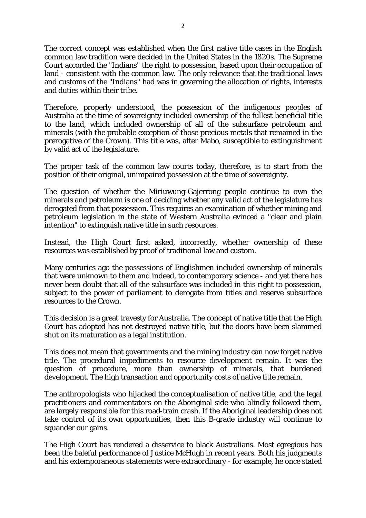The correct concept was established when the first native title cases in the English common law tradition were decided in the United States in the 1820s. The Supreme Court accorded the "Indians" the right to possession, based upon their occupation of land - consistent with the common law. The only relevance that the traditional laws and customs of the "Indians" had was in governing the allocation of rights, interests and duties within their tribe.

Therefore, properly understood, the possession of the indigenous peoples of Australia at the time of sovereignty included ownership of the fullest beneficial title to the land, which included ownership of all of the subsurface petroleum and minerals (with the probable exception of those precious metals that remained in the prerogative of the Crown). This title was, after Mabo, susceptible to extinguishment by valid act of the legislature.

The proper task of the common law courts today, therefore, is to start from the position of their original, unimpaired possession at the time of sovereignty.

The question of whether the Miriuwung-Gajerrong people continue to own the minerals and petroleum is one of deciding whether any valid act of the legislature has derogated from that possession. This requires an examination of whether mining and petroleum legislation in the state of Western Australia evinced a "clear and plain intention" to extinguish native title in such resources.

Instead, the High Court first asked, incorrectly, whether ownership of these resources was established by proof of traditional law and custom.

Many centuries ago the possessions of Englishmen included ownership of minerals that were unknown to them and indeed, to contemporary science - and yet there has never been doubt that all of the subsurface was included in this right to possession, subject to the power of parliament to derogate from titles and reserve subsurface resources to the Crown.

This decision is a great travesty for Australia. The concept of native title that the High Court has adopted has not destroyed native title, but the doors have been slammed shut on its maturation as a legal institution.

This does not mean that governments and the mining industry can now forget native title. The procedural impediments to resource development remain. It was the question of procedure, more than ownership of minerals, that burdened development. The high transaction and opportunity costs of native title remain.

The anthropologists who hijacked the conceptualisation of native title, and the legal practitioners and commentators on the Aboriginal side who blindly followed them, are largely responsible for this road-train crash. If the Aboriginal leadership does not take control of its own opportunities, then this B-grade industry will continue to squander our gains.

The High Court has rendered a disservice to black Australians. Most egregious has been the baleful performance of Justice McHugh in recent years. Both his judgments and his extemporaneous statements were extraordinary - for example, he once stated